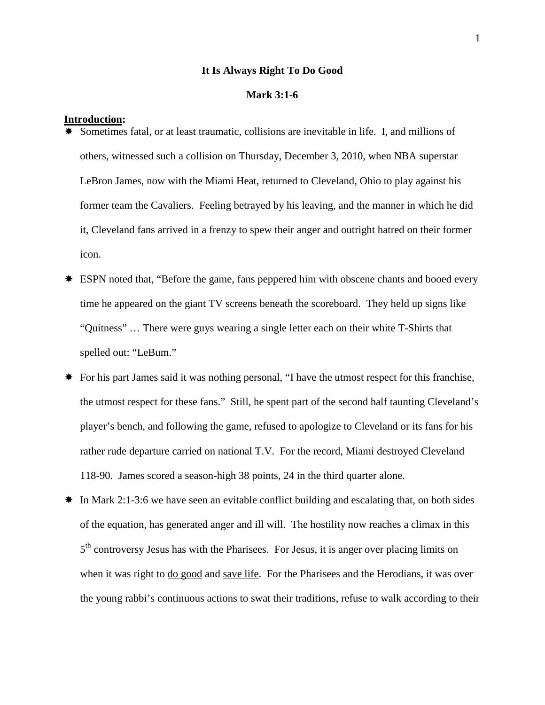## **It Is Always Right To Do Good**

# **Mark 3:1-6**

#### **Introduction:**

- Sometimes fatal, or at least traumatic, collisions are inevitable in life. I, and millions of others, witnessed such a collision on Thursday, December 3, 2010, when NBA superstar LeBron James, now with the Miami Heat, returned to Cleveland, Ohio to play against his former team the Cavaliers. Feeling betrayed by his leaving, and the manner in which he did it, Cleveland fans arrived in a frenzy to spew their anger and outright hatred on their former icon.
- \* ESPN noted that, "Before the game, fans peppered him with obscene chants and booed every time he appeared on the giant TV screens beneath the scoreboard. They held up signs like "Quitness" … There were guys wearing a single letter each on their white T-Shirts that spelled out: "LeBum."
- \* For his part James said it was nothing personal, "I have the utmost respect for this franchise, the utmost respect for these fans." Still, he spent part of the second half taunting Cleveland's player's bench, and following the game, refused to apologize to Cleveland or its fans for his rather rude departure carried on national T.V. For the record, Miami destroyed Cleveland 118-90. James scored a season-high 38 points, 24 in the third quarter alone.
- $\ast$  In Mark 2:1-3:6 we have seen an evitable conflict building and escalating that, on both sides of the equation, has generated anger and ill will. The hostility now reaches a climax in this  $5<sup>th</sup>$  controversy Jesus has with the Pharisees. For Jesus, it is anger over placing limits on when it was right to do good and save life. For the Pharisees and the Herodians, it was over the young rabbi's continuous actions to swat their traditions, refuse to walk according to their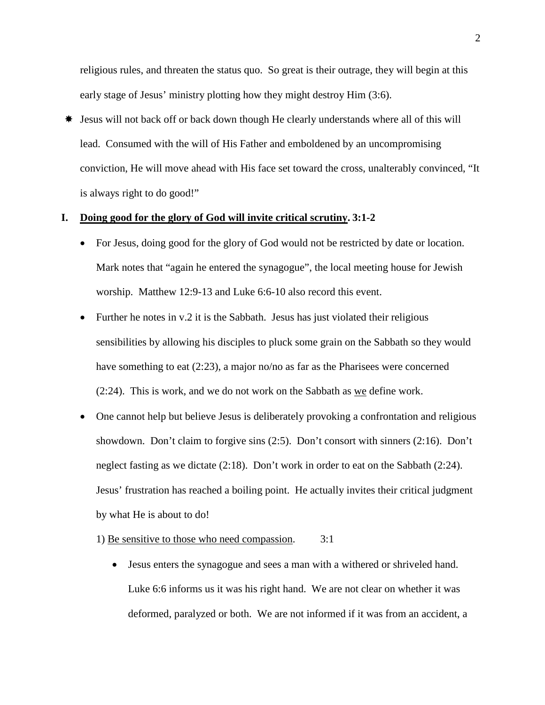religious rules, and threaten the status quo. So great is their outrage, they will begin at this early stage of Jesus' ministry plotting how they might destroy Him (3:6).

 Jesus will not back off or back down though He clearly understands where all of this will lead. Consumed with the will of His Father and emboldened by an uncompromising conviction, He will move ahead with His face set toward the cross, unalterably convinced, "It is always right to do good!"

# **I. Doing good for the glory of God will invite critical scrutiny. 3:1-2**

- For Jesus, doing good for the glory of God would not be restricted by date or location. Mark notes that "again he entered the synagogue", the local meeting house for Jewish worship. Matthew 12:9-13 and Luke 6:6-10 also record this event.
- Further he notes in v.2 it is the Sabbath. Jesus has just violated their religious sensibilities by allowing his disciples to pluck some grain on the Sabbath so they would have something to eat (2:23), a major no/no as far as the Pharisees were concerned  $(2:24)$ . This is work, and we do not work on the Sabbath as we define work.
- One cannot help but believe Jesus is deliberately provoking a confrontation and religious showdown. Don't claim to forgive sins (2:5). Don't consort with sinners (2:16). Don't neglect fasting as we dictate (2:18). Don't work in order to eat on the Sabbath (2:24). Jesus' frustration has reached a boiling point. He actually invites their critical judgment by what He is about to do!
	- 1) Be sensitive to those who need compassion. 3:1
		- Jesus enters the synagogue and sees a man with a withered or shriveled hand. Luke 6:6 informs us it was his right hand. We are not clear on whether it was deformed, paralyzed or both. We are not informed if it was from an accident, a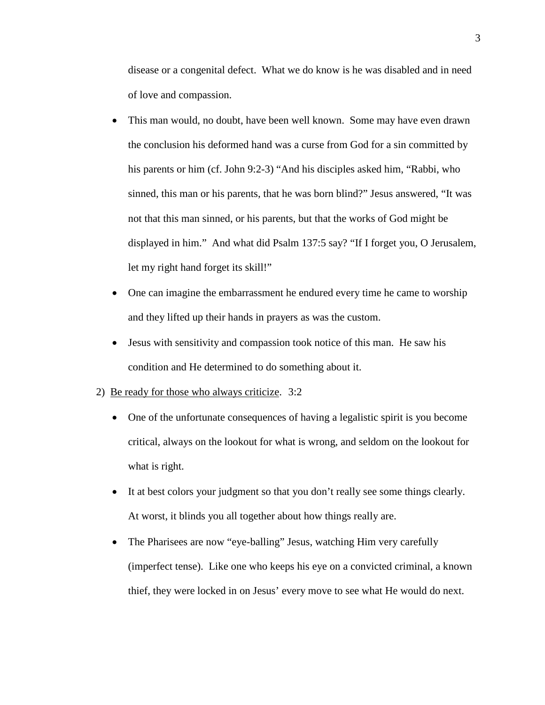disease or a congenital defect. What we do know is he was disabled and in need of love and compassion.

- This man would, no doubt, have been well known. Some may have even drawn the conclusion his deformed hand was a curse from God for a sin committed by his parents or him (cf. John 9:2-3) "And his disciples asked him, "Rabbi, who sinned, this man or his parents, that he was born blind?" Jesus answered, "It was not that this man sinned, or his parents, but that the works of God might be displayed in him." And what did Psalm 137:5 say? "If I forget you, O Jerusalem, let my right hand forget its skill!"
- One can imagine the embarrassment he endured every time he came to worship and they lifted up their hands in prayers as was the custom.
- Jesus with sensitivity and compassion took notice of this man. He saw his condition and He determined to do something about it.
- 2) Be ready for those who always criticize. 3:2
	- One of the unfortunate consequences of having a legalistic spirit is you become critical, always on the lookout for what is wrong, and seldom on the lookout for what is right.
	- It at best colors your judgment so that you don't really see some things clearly. At worst, it blinds you all together about how things really are.
	- The Pharisees are now "eye-balling" Jesus, watching Him very carefully (imperfect tense). Like one who keeps his eye on a convicted criminal, a known thief, they were locked in on Jesus' every move to see what He would do next.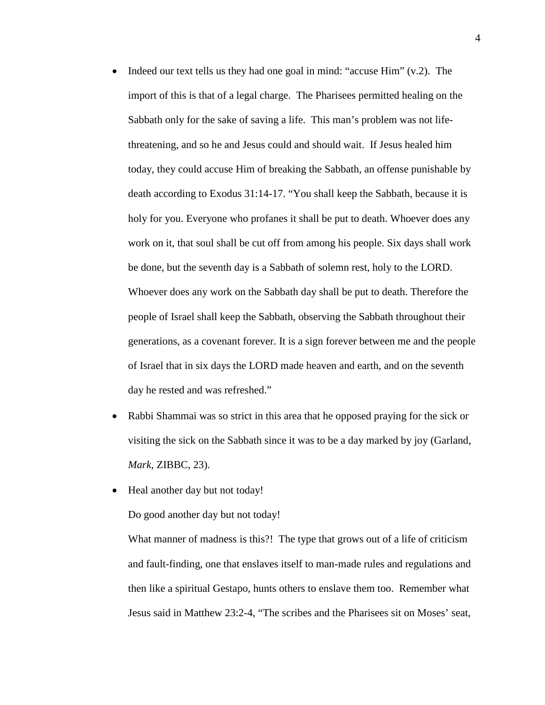- Indeed our text tells us they had one goal in mind: "accuse  $\text{Him}$ " (v.2). The import of this is that of a legal charge. The Pharisees permitted healing on the Sabbath only for the sake of saving a life. This man's problem was not lifethreatening, and so he and Jesus could and should wait. If Jesus healed him today, they could accuse Him of breaking the Sabbath, an offense punishable by death according to Exodus 31:14-17. "You shall keep the Sabbath, because it is holy for you. Everyone who profanes it shall be put to death. Whoever does any work on it, that soul shall be cut off from among his people. Six days shall work be done, but the seventh day is a Sabbath of solemn rest, holy to the LORD. Whoever does any work on the Sabbath day shall be put to death. Therefore the people of Israel shall keep the Sabbath, observing the Sabbath throughout their generations, as a covenant forever. It is a sign forever between me and the people of Israel that in six days the LORD made heaven and earth, and on the seventh day he rested and was refreshed."
- Rabbi Shammai was so strict in this area that he opposed praying for the sick or visiting the sick on the Sabbath since it was to be a day marked by joy (Garland, *Mark*, ZIBBC, 23).
- Heal another day but not today!

Do good another day but not today!

What manner of madness is this?! The type that grows out of a life of criticism and fault-finding, one that enslaves itself to man-made rules and regulations and then like a spiritual Gestapo, hunts others to enslave them too. Remember what Jesus said in Matthew 23:2-4, "The scribes and the Pharisees sit on Moses' seat,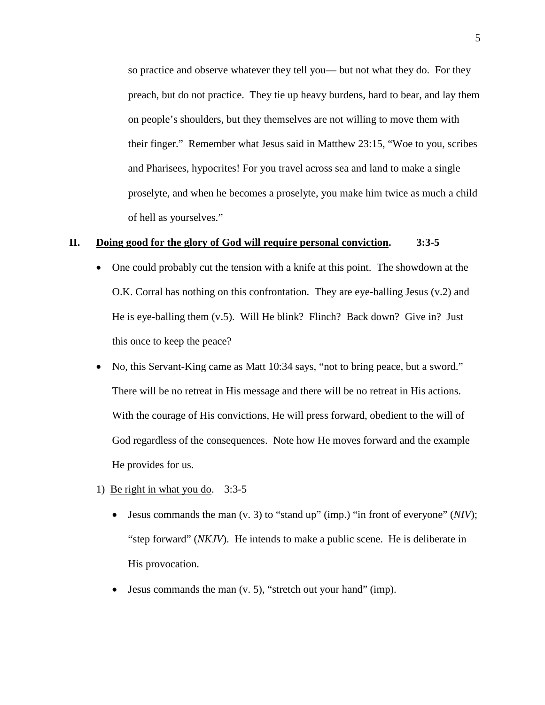so practice and observe whatever they tell you— but not what they do. For they preach, but do not practice. They tie up heavy burdens, hard to bear, and lay them on people's shoulders, but they themselves are not willing to move them with their finger." Remember what Jesus said in Matthew 23:15, "Woe to you, scribes and Pharisees, hypocrites! For you travel across sea and land to make a single proselyte, and when he becomes a proselyte, you make him twice as much a child of hell as yourselves."

# **II. Doing good for the glory of God will require personal conviction. 3:3-5**

- One could probably cut the tension with a knife at this point. The showdown at the O.K. Corral has nothing on this confrontation. They are eye-balling Jesus (v.2) and He is eye-balling them (v.5). Will He blink? Flinch? Back down? Give in? Just this once to keep the peace?
- No, this Servant-King came as Matt 10:34 says, "not to bring peace, but a sword." There will be no retreat in His message and there will be no retreat in His actions. With the courage of His convictions, He will press forward, obedient to the will of God regardless of the consequences. Note how He moves forward and the example He provides for us.
- 1) Be right in what you do. 3:3-5
	- Jesus commands the man (v. 3) to "stand up" (imp.) "in front of everyone" (*NIV*); "step forward" (*NKJV*). He intends to make a public scene. He is deliberate in His provocation.
	- Jesus commands the man  $(v, 5)$ , "stretch out your hand" (imp).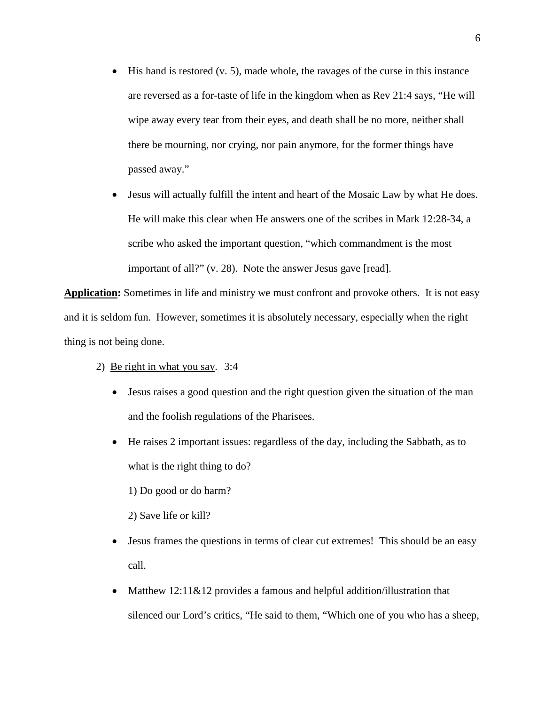- $\bullet$  His hand is restored (v. 5), made whole, the ravages of the curse in this instance are reversed as a for-taste of life in the kingdom when as Rev 21:4 says, "He will wipe away every tear from their eyes, and death shall be no more, neither shall there be mourning, nor crying, nor pain anymore, for the former things have passed away."
- Jesus will actually fulfill the intent and heart of the Mosaic Law by what He does. He will make this clear when He answers one of the scribes in Mark 12:28-34, a scribe who asked the important question, "which commandment is the most important of all?" (v. 28). Note the answer Jesus gave [read].

**Application:** Sometimes in life and ministry we must confront and provoke others. It is not easy and it is seldom fun. However, sometimes it is absolutely necessary, especially when the right thing is not being done.

- 2) Be right in what you say. 3:4
	- Jesus raises a good question and the right question given the situation of the man and the foolish regulations of the Pharisees.
	- He raises 2 important issues: regardless of the day, including the Sabbath, as to what is the right thing to do?

1) Do good or do harm?

2) Save life or kill?

- Jesus frames the questions in terms of clear cut extremes! This should be an easy call.
- Matthew 12:11&12 provides a famous and helpful addition/illustration that silenced our Lord's critics, "He said to them, "Which one of you who has a sheep,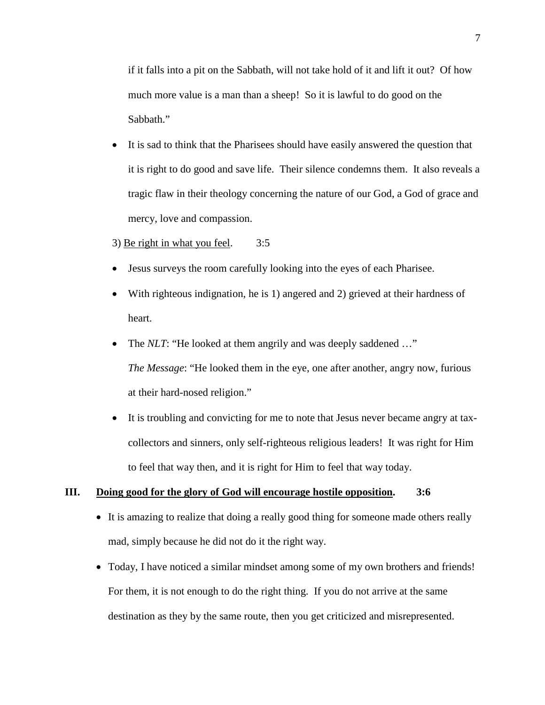if it falls into a pit on the Sabbath, will not take hold of it and lift it out? Of how much more value is a man than a sheep! So it is lawful to do good on the Sabbath."

- It is sad to think that the Pharisees should have easily answered the question that it is right to do good and save life. Their silence condemns them. It also reveals a tragic flaw in their theology concerning the nature of our God, a God of grace and mercy, love and compassion.
- 3) Be right in what you feel. 3:5
- Jesus surveys the room carefully looking into the eyes of each Pharisee.
- With righteous indignation, he is 1) angered and 2) grieved at their hardness of heart.
- The *NLT*: "He looked at them angrily and was deeply saddened ..." *The Message*: "He looked them in the eye, one after another, angry now, furious at their hard-nosed religion."
- It is troubling and convicting for me to note that Jesus never became angry at taxcollectors and sinners, only self-righteous religious leaders! It was right for Him to feel that way then, and it is right for Him to feel that way today.

## **III. Doing good for the glory of God will encourage hostile opposition. 3:6**

- It is amazing to realize that doing a really good thing for someone made others really mad, simply because he did not do it the right way.
- Today, I have noticed a similar mindset among some of my own brothers and friends! For them, it is not enough to do the right thing. If you do not arrive at the same destination as they by the same route, then you get criticized and misrepresented.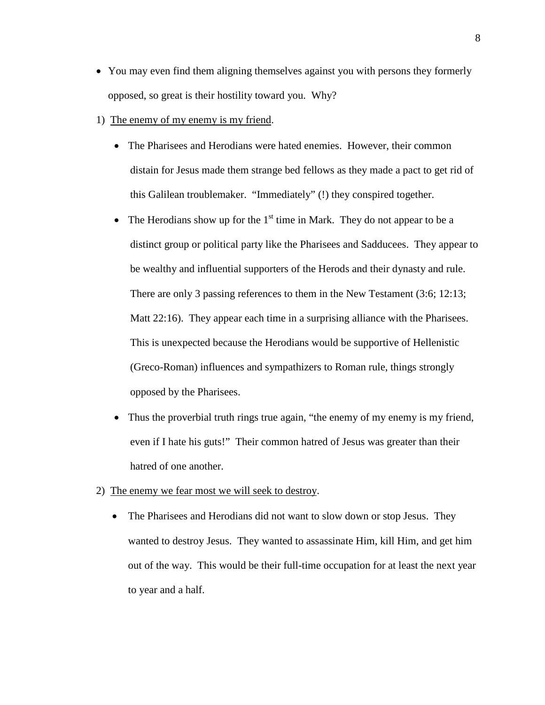- You may even find them aligning themselves against you with persons they formerly opposed, so great is their hostility toward you. Why?
- 1) The enemy of my enemy is my friend.
	- The Pharisees and Herodians were hated enemies. However, their common distain for Jesus made them strange bed fellows as they made a pact to get rid of this Galilean troublemaker. "Immediately" (!) they conspired together.
	- The Herodians show up for the  $1<sup>st</sup>$  time in Mark. They do not appear to be a distinct group or political party like the Pharisees and Sadducees. They appear to be wealthy and influential supporters of the Herods and their dynasty and rule. There are only 3 passing references to them in the New Testament (3:6; 12:13; Matt 22:16). They appear each time in a surprising alliance with the Pharisees. This is unexpected because the Herodians would be supportive of Hellenistic (Greco-Roman) influences and sympathizers to Roman rule, things strongly opposed by the Pharisees.
	- Thus the proverbial truth rings true again, "the enemy of my enemy is my friend, even if I hate his guts!" Their common hatred of Jesus was greater than their hatred of one another.
- 2) The enemy we fear most we will seek to destroy.
	- The Pharisees and Herodians did not want to slow down or stop Jesus. They wanted to destroy Jesus. They wanted to assassinate Him, kill Him, and get him out of the way. This would be their full-time occupation for at least the next year to year and a half.